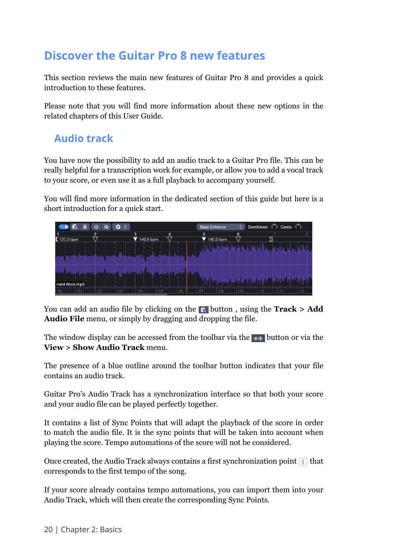# **Discover the Guitar Pro 8 new features**

This section reviews the main new features of Guitar Pro 8 and provides a quick introduction to these features.

Please note that you will find more information about these new options in the related chapters of this User Guide.

### **Audio track**

You have now the possibility to add an audio track to a Guitar Pro file. This can be really helpful for a transcription work for example, or allow you to add a vocal track to your score, or even use it as a full playback to accompany yourself.

You will find more information in the dedicated section of this guide but here is a short introduction for a quick start.



You can add an audio file by clicking on the **button**, using the **Track > Add Audio File** menu, or simply by dragging and dropping the file.

The window display can be accessed from the toolbar via the  $\mathbb{L}$  button or via the **View > Show Audio Track** menu.

The presence of a blue outline around the toolbar button indicates that your file contains an audio track.

Guitar Pro's Audio Track has a synchronization interface so that both your score and your audio file can be played perfectly together.

It contains a list of Sync Points that will adapt the playback of the score in order to match the audio file. It is the sync points that will be taken into account when playing the score. Tempo automations of the score will not be considered.

Once created, the Audio Track always contains a first synchronization point  $\Box$  that corresponds to the first tempo of the song.

If your score already contains tempo automations, you can import them into your Audio Track, which will then create the corresponding Sync Points.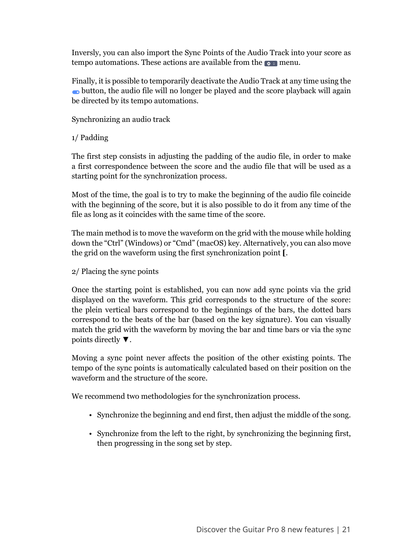Inversly, you can also import the Sync Points of the Audio Track into your score as tempo automations. These actions are available from the  $\bullet \bullet$  menu.

Finally, it is possible to temporarily deactivate the Audio Track at any time using the button, the audio file will no longer be played and the score playback will again be directed by its tempo automations.

Synchronizing an audio track

1/ Padding

The first step consists in adjusting the padding of the audio file, in order to make a first correspondence between the score and the audio file that will be used as a starting point for the synchronization process.

Most of the time, the goal is to try to make the beginning of the audio file coincide with the beginning of the score, but it is also possible to do it from any time of the file as long as it coincides with the same time of the score.

The main method is to move the waveform on the grid with the mouse while holding down the "Ctrl" (Windows) or "Cmd" (macOS) key. Alternatively, you can also move the grid on the waveform using the first synchronization point **[**.

2/ Placing the sync points

Once the starting point is established, you can now add sync points via the grid displayed on the waveform. This grid corresponds to the structure of the score: the plein vertical bars correspond to the beginnings of the bars, the dotted bars correspond to the beats of the bar (based on the key signature). You can visually match the grid with the waveform by moving the bar and time bars or via the sync points directly ▼.

Moving a sync point never affects the position of the other existing points. The tempo of the sync points is automatically calculated based on their position on the waveform and the structure of the score.

We recommend two methodologies for the synchronization process.

- Synchronize the beginning and end first, then adjust the middle of the song.
- Synchronize from the left to the right, by synchronizing the beginning first, then progressing in the song set by step.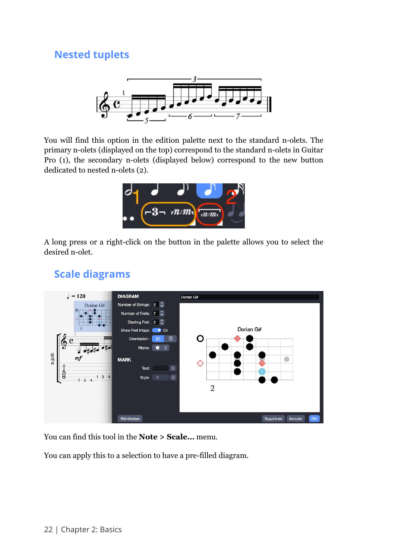### **Nested tuplets**



You will find this option in the edition palette next to the standard n-olets. The primary n-olets (displayed on the top) correspond to the standard n-olets in Guitar Pro (1), the secondary n-olets (displayed below) correspond to the new button dedicated to nested n-olets (2).



A long press or a right-click on the button in the palette allows you to select the desired n-olet.

### **Scale diagrams**



You can find this tool in the **Note > Scale…** menu.

You can apply this to a selection to have a pre-filled diagram.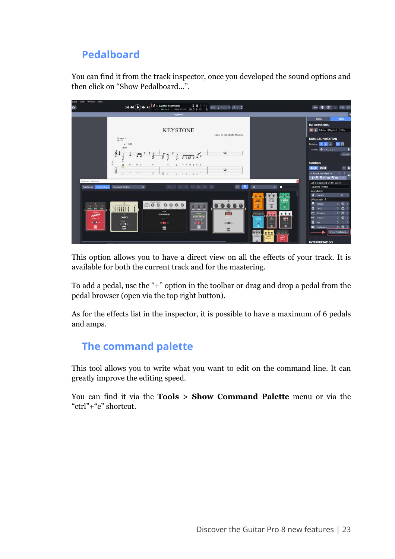## **Pedalboard**

You can find it from the track inspector, once you developed the sound options and then click on "Show Pedalboard…".

| View :<br>Window Help<br>ound<br>a |                                        | $H \oplus (\bullet) \mapsto H$ $\downarrow$ 1. E. Guitar I (Rhythm)<br>mbm) $\begin{bmatrix} 2 & \mathbf{A} & \vdots & \vdots & \vdots \\ \cos\alpha_{12} & \cos\alpha_{21} & \mathbf{B} & \mathbf{B} & \mathbf{A} & \mathbf{B} & \mathbf{B} \end{bmatrix}$<br>1/11 04040 | $0/2$ $+$                                                                                                           |                                     | ₩ ≤<br>$+$ $+$ $+$ $+$<br>m                     |
|------------------------------------|----------------------------------------|---------------------------------------------------------------------------------------------------------------------------------------------------------------------------------------------------------------------------------------------------------------------------|---------------------------------------------------------------------------------------------------------------------|-------------------------------------|-------------------------------------------------|
|                                    |                                        | Kaystone                                                                                                                                                                                                                                                                  |                                                                                                                     |                                     |                                                 |
|                                    |                                        |                                                                                                                                                                                                                                                                           |                                                                                                                     |                                     | <b>TRACK</b><br>SONG                            |
|                                    |                                        |                                                                                                                                                                                                                                                                           |                                                                                                                     |                                     | <b>INFORMATION</b>                              |
|                                    |                                        | <b>KEYSTONE</b>                                                                                                                                                                                                                                                           |                                                                                                                     |                                     | EGuitar1(Rhythm) EGtr                           |
|                                    |                                        |                                                                                                                                                                                                                                                                           | Music by Christophe Maerten                                                                                         |                                     |                                                 |
|                                    | Dropped D                              |                                                                                                                                                                                                                                                                           |                                                                                                                     |                                     | <b>MUSICAL NOTATION</b>                         |
|                                    | $_{*} = 120$                           |                                                                                                                                                                                                                                                                           |                                                                                                                     |                                     | ■日<br>Notation 3 J                              |
|                                    | Intro                                  |                                                                                                                                                                                                                                                                           |                                                                                                                     |                                     | Tuning O DADGBE                                 |
|                                    | 61                                     | $\pi\pi\Omega$                                                                                                                                                                                                                                                            | W.                                                                                                                  |                                     | More *                                          |
|                                    |                                        |                                                                                                                                                                                                                                                                           |                                                                                                                     |                                     |                                                 |
|                                    | š<br>$H$ V                             | <b>B.V.B.V.B.V.</b>                                                                                                                                                                                                                                                       |                                                                                                                     |                                     | <b>SOUNDS</b>                                   |
|                                    | ŝ                                      |                                                                                                                                                                                                                                                                           | W.                                                                                                                  |                                     | $+$ A<br><b>EXIED</b><br><b>FIRE</b>            |
|                                    | $-5 - 2 - 2$                           | 准<br>$\rightarrow$<br>$0 - 1 - 3 - 4 - 4 - 5$                                                                                                                                                                                                                             |                                                                                                                     |                                     | 13 L<br>۰<br>1. Keystone Rhythm                 |
| Policiboard - Galter Pro &         |                                        |                                                                                                                                                                                                                                                                           |                                                                                                                     |                                     | $I.5.5.095$ as $5.00$<br>$\sim$                 |
| Mastering Current track            | $\circ$<br>Keystone Rhythm             | $C \quad \Rightarrow \quad \text{for all } \quad \text{in} \quad \text{in} \quad \text{in}$<br>千                                                                                                                                                                          | $\Box$<br>B.                                                                                                        | $\circ$ $\bullet$<br>AI             | Label displayed on the score<br>Keystone Rhythm |
|                                    |                                        |                                                                                                                                                                                                                                                                           |                                                                                                                     |                                     | Soundbank                                       |
|                                    |                                        |                                                                                                                                                                                                                                                                           |                                                                                                                     | ö                                   | <b>A</b> Metal 7<br>0 <sup>1</sup>              |
|                                    |                                        |                                                                                                                                                                                                                                                                           |                                                                                                                     | <b>KOW</b><br><b>FIS</b><br>Alterna | Effect chain                                    |
|                                    | $\alpha$<br><b>US AN AN WE CALLACA</b> | $= 0.0$<br>0000                                                                                                                                                                                                                                                           | $\overline{\bullet} \overline{\bullet} \overline{\bullet} \overline{\bullet} \overline{\bullet} \overline{\bullet}$ | È<br>$-129$                         | $\circ$ 0 $\circ$<br>書<br><b>Jordan</b>         |
| <u>e è e</u>                       | <b>THIR</b>                            | <b>SINCE</b>                                                                                                                                                                                                                                                              | <b>HARVE</b>                                                                                                        |                                     | 0.01<br>髙<br>$-6 - 10$                          |
| <b>JORDAN</b>                      | 10 <sup>2</sup>                        | modern<br><b>DYNAMIC</b>                                                                                                                                                                                                                                                  | <b>Jet</b>                                                                                                          | 99<br>m                             | 001<br>苎<br>Modern                              |
| and in                             | $G-ED$<br>from .                       | Freuen W<br><b>HAME &amp;</b>                                                                                                                                                                                                                                             |                                                                                                                     | orr<br>$\frac{1}{100}$<br>-         | $0$ $0$ 1<br><b>200</b> Classic                 |
| $m \in \mathbb{R}$                 | of 150 the                             | or into:<br>of Ello                                                                                                                                                                                                                                                       | In Cities                                                                                                           | 188.0<br>$\rightarrow$<br>m         | $\bullet$<br>в<br>a.<br><b>Set</b>              |
| 僵                                  | 畾                                      | ٣<br>彊                                                                                                                                                                                                                                                                    | 鼺                                                                                                                   |                                     | $CD$ :<br>$\blacksquare$<br>Ambience            |
|                                    |                                        |                                                                                                                                                                                                                                                                           |                                                                                                                     | bender                              | Show Pedalboard                                 |
|                                    |                                        |                                                                                                                                                                                                                                                                           |                                                                                                                     |                                     | <b>INTERPRETATION</b>                           |

This option allows you to have a direct view on all the effects of your track. It is available for both the current track and for the mastering.

To add a pedal, use the "+" option in the toolbar or drag and drop a pedal from the pedal browser (open via the top right button).

As for the effects list in the inspector, it is possible to have a maximum of 6 pedals and amps.

#### **The command palette**

This tool allows you to write what you want to edit on the command line. It can greatly improve the editing speed.

You can find it via the **Tools > Show Command Palette** menu or via the "ctrl"+"e" shortcut.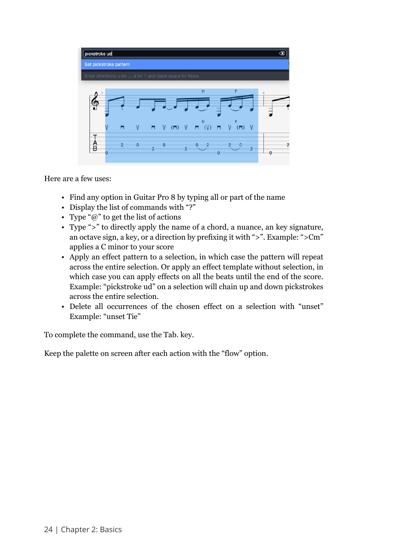

Here are a few uses:

- Find any option in Guitar Pro 8 by typing all or part of the name
- Display the list of commands with "?"
- Type " $\omega$ " to get the list of actions
- Type ">" to directly apply the name of a chord, a nuance, an key signature, an octave sign, a key, or a direction by prefixing it with ">". Example: ">Cm" applies a C minor to your score
- Apply an effect pattern to a selection, in which case the pattern will repeat across the entire selection. Or apply an effect template without selection, in which case you can apply effects on all the beats until the end of the score. Example: "pickstroke ud" on a selection will chain up and down pickstrokes across the entire selection.
- Delete all occurrences of the chosen effect on a selection with "unset" Example: "unset Tie"

To complete the command, use the Tab. key.

Keep the palette on screen after each action with the "flow" option.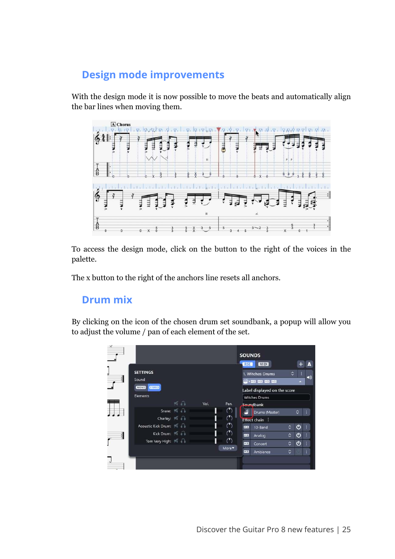## **Design mode improvements**

With the design mode it is now possible to move the beats and automatically align the bar lines when moving them.



To access the design mode, click on the button to the right of the voices in the palette.

The x button to the right of the anchors line resets all anchors.

#### **Drum mix**

By clicking on the icon of the chosen drum set soundbank, a popup will allow you to adjust the volume / pan of each element of the set.

| $\times$ |                                                     |                  |      |                                      | <b>SOUNDS</b><br><b>RSE</b>                                     | MIDI                         |                               | л |
|----------|-----------------------------------------------------|------------------|------|--------------------------------------|-----------------------------------------------------------------|------------------------------|-------------------------------|---|
| $\cdot$  | <b>SETTINGS</b><br>Sound<br>MONO STEREO<br>Elements |                  |      |                                      | 1. Witches Drums<br>ණ කා කා කා කා<br><b>Witches Drums</b>       | Label displayed on the score | ≎<br>٠                        |   |
|          | Charley: 7 8<br>Acoustic Kick Drum:                 | 天品<br>Snare: # 0 | Vol. | Pan.<br>Ο<br>$\sigma$<br>Ο           | Soundbank<br><b>Effect chain :</b><br>$\overline{a}$<br>10 Band | Drums (Master)               | ٥<br>$\hat{c}$<br>ტ           |   |
| $\cdot$  | Kick Drum:<br>Tom Very High: 74                     |                  |      | $\bigcirc$<br>◠<br>More <sup>-</sup> | $\overline{a}$<br>Analog<br>$\overline{a}$<br>Concert<br>本田     | Ambience                     | ტ<br>٥<br>৩<br>$\hat{c}$<br>٥ |   |
|          |                                                     |                  |      |                                      |                                                                 |                              |                               |   |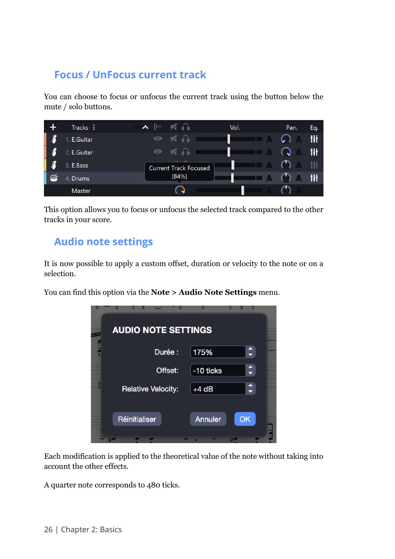### **Focus / UnFocus current track**

You can choose to focus or unfocus the current track using the button below the mute / solo buttons.



This option allows you to focus or unfocus the selected track compared to the other tracks in your score.

#### **Audio note settings**

It is now possible to apply a custom offset, duration or velocity to the note or on a selection.

You can find this option via the **Note > Audio Note Settings** menu.

| <b>AUDIO NOTE SETTINGS</b> |                              |                    |
|----------------------------|------------------------------|--------------------|
|                            |                              |                    |
| Durée :                    | 175%                         | $\hat{\cdot}$      |
| Offset:                    | -10 ticks                    | $\hat{\bm{\cdot}}$ |
| <b>Relative Velocity:</b>  | $+4 dB$                      | $\hat{\mathbf{t}}$ |
| Réinitialiser              | <b>Annuler</b><br><b>CAN</b> | OK                 |

Each modification is applied to the theoretical value of the note without taking into account the other effects.

A quarter note corresponds to 480 ticks.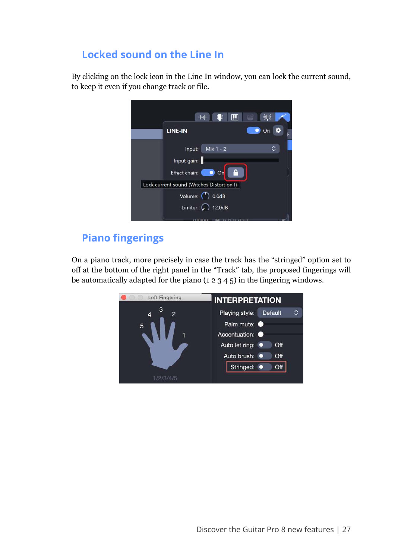## **Locked sound on the Line In**

By clicking on the lock icon in the Line In window, you can lock the current sound, to keep it even if you change track or file.

|                                           | $\mathbf{m}$<br>파매<br>:   | (CU) |
|-------------------------------------------|---------------------------|------|
| LINE-IN                                   |                           | On   |
| Input:                                    | Mix $1 - 2$               | ◠    |
| Input gain:                               |                           |      |
| Effect chain:                             | А<br>On                   |      |
| Lock current sound (Witches Distortion I) |                           |      |
|                                           | Volume: ( 0.0dB           |      |
|                                           | Limiter: $\bigcap$ 12.0dB |      |
|                                           | <u>.</u>                  |      |

# **Piano fingerings**

On a piano track, more precisely in case the track has the "stringed" option set to off at the bottom of the right panel in the "Track" tab, the proposed fingerings will be automatically adapted for the piano (1 2 3 4 5) in the fingering windows.

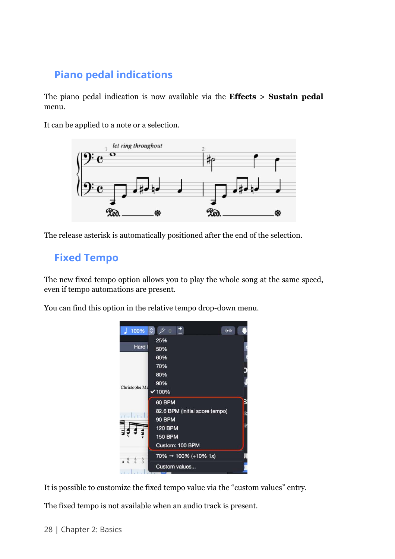# **Piano pedal indications**

The piano pedal indication is now available via the **Effects > Sustain pedal** menu.

It can be applied to a note or a selection.



The release asterisk is automatically positioned after the end of the selection.

### **Fixed Tempo**

The new fixed tempo option allows you to play the whole song at the same speed, even if tempo automations are present.

You can find this option in the relative tempo drop-down menu.



It is possible to customize the fixed tempo value via the "custom values" entry.

The fixed tempo is not available when an audio track is present.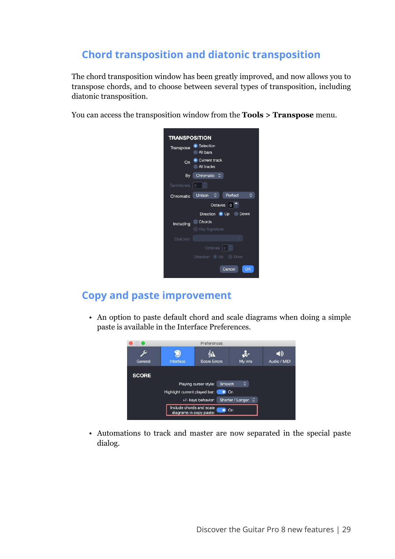# **Chord transposition and diatonic transposition**

The chord transposition window has been greatly improved, and now allows you to transpose chords, and to choose between several types of transposition, including diatonic transposition.

You can access the transposition window from the **Tools > Transpose** menu.



### **Copy and paste improvement**

• An option to paste default chord and scale diagrams when doing a simple paste is available in the Interface Preferences.



• Automations to track and master are now separated in the special paste dialog.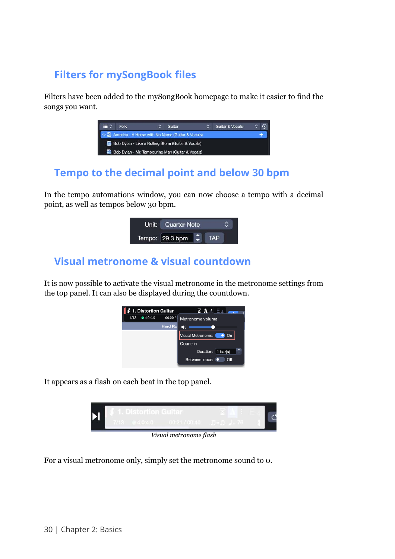# **Filters for mySongBook files**

Filters have been added to the mySongBook homepage to make it easier to find the songs you want.



## **Tempo to the decimal point and below 30 bpm**

In the tempo automations window, you can now choose a tempo with a decimal point, as well as tempos below 30 bpm.



### **Visual metronome & visual countdown**

It is now possible to activate the visual metronome in the metronome settings from the top panel. It can also be displayed during the countdown.



It appears as a flash on each beat in the top panel.



*Visual metronome flash*

For a visual metronome only, simply set the metronome sound to 0.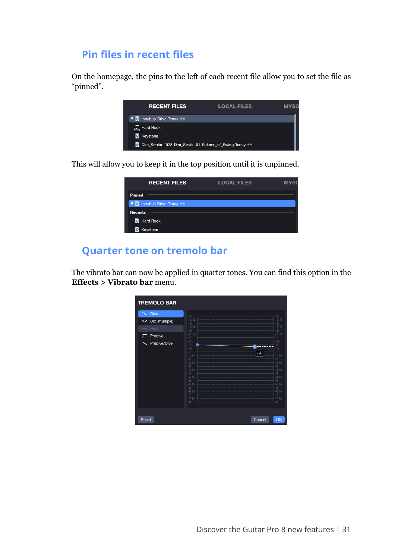### **Pin files in recent files**

On the homepage, the pins to the left of each recent file allow you to set the file as "pinned".



This will allow you to keep it in the top position until it is unpinned.

| <b>RECENT FILES</b>       | <b>LOCAL FILES</b> | <b>MYSC</b> |
|---------------------------|--------------------|-------------|
| Pinned                    |                    |             |
| 平 7 Incubus-Drive-Tency 中 |                    |             |
| <b>Recents</b>            |                    |             |
| <b>D</b> Hard Rock        |                    |             |
| <b>7</b> Keystone         |                    |             |

#### **Quarter tone on tremolo bar**

The vibrato bar can now be applied in quarter tones. You can find this option in the **Effects > Vibrato bar** menu.

| <b>TREMOLO BAR</b>                                                                        |                                                                                                                                                                                                                                                                                                                                                                                                                                                                        |
|-------------------------------------------------------------------------------------------|------------------------------------------------------------------------------------------------------------------------------------------------------------------------------------------------------------------------------------------------------------------------------------------------------------------------------------------------------------------------------------------------------------------------------------------------------------------------|
| <b>Dive</b><br>Dip (multiple)<br>$\check{ }$<br>Hold<br>Predive<br>F<br>Predive/Dive<br>↖ | $+4$<br>$^{+4}$<br>$+3\frac{1}{2}$<br>$+3\frac{1}{2}$<br>$^{+3}_{+2}$ %<br>$+3$<br>$+21/2$<br>$+2$<br>$+2$<br>$\frac{1}{1}$ 1/2<br>$+11$<br>$+1$<br>$+1/2$<br>0<br>-1/2<br>$+1/2$<br>$0 - \frac{1}{2}$<br>$-1$<br>$-1/4$<br>$-1$ 1/2<br>$-2$ 1/2<br>$-2$ 1/2<br>$-3$ 1/2<br>$-12$<br>$\frac{1}{2}$<br>-2 ½<br>-3<br>$-32$<br>$-4$<br>-4<br>$-4$ $\frac{1}{2}$<br>$-5$ $\frac{1}{2}$<br>$-41/2$<br>-5<br>$-52$<br>$-6$<br>$-6$ $\frac{1}{2}$<br>$-6$<br>$-6\frac{1}{2}$ |
| Reset                                                                                     | $\bullet$<br>$\overline{\phantom{a}}$<br>$-71/2$<br>-7 ½<br>-8<br>$-\dot{8}$<br>Cancel<br>OK                                                                                                                                                                                                                                                                                                                                                                           |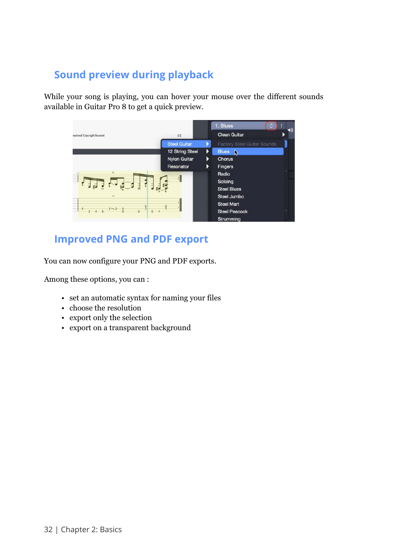# **Sound preview during playback**

While your song is playing, you can hover your mouse over the different sounds available in Guitar Pro 8 to get a quick preview.



# **Improved PNG and PDF export**

You can now configure your PNG and PDF exports.

Among these options, you can :

- set an automatic syntax for naming your files
- choose the resolution
- export only the selection
- export on a transparent background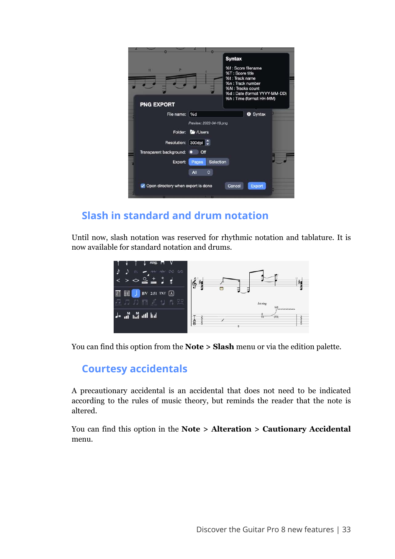|                         |                                    | <b>Syntax</b>                                                                                                                                                |
|-------------------------|------------------------------------|--------------------------------------------------------------------------------------------------------------------------------------------------------------|
| H<br>P                  |                                    | %f : Score filename<br>%T: Score title<br>%t: Track name<br>%n : Track number<br>%N: Tracks count<br>%d: Date (format YYYY-MM-DD)<br>%h: Time (format HH-MM) |
| <b>PNG EXPORT</b>       |                                    |                                                                                                                                                              |
| File name:   %d         |                                    | <b>O</b> Syntax                                                                                                                                              |
|                         | Preview: 2022-04-19.png            |                                                                                                                                                              |
|                         | Folder: Tra / Users                |                                                                                                                                                              |
| Resolution: 300dpi :    |                                    |                                                                                                                                                              |
| Transparent background: | Off<br>$\bullet$                   |                                                                                                                                                              |
| Export:                 | Selection<br>Pages                 |                                                                                                                                                              |
|                         | $\hat{c}$<br>All                   |                                                                                                                                                              |
|                         | Open directory when export is done | Cancel<br><b>Export</b>                                                                                                                                      |

# **Slash in standard and drum notation**

Until now, slash notation was reserved for rhythmic notation and tablature. It is now available for standard notation and drums.



You can find this option from the **Note > Slash** menu or via the edition palette.

### **Courtesy accidentals**

A precautionary accidental is an accidental that does not need to be indicated according to the rules of music theory, but reminds the reader that the note is altered.

You can find this option in the **Note > Alteration > Cautionary Accidental** menu.